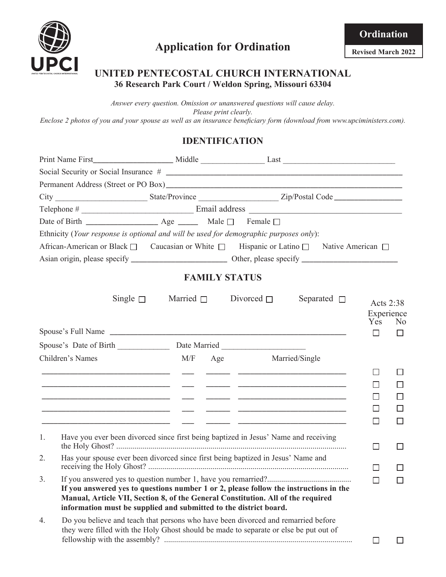

## **UNITED PENTECOSTAL CHURCH INTERNATIONAL 36 Research Park Court / Weldon Spring, Missouri 63304**

*Answer every question. Omission or unanswered questions will cause delay. Please print clearly. Enclose 2 photos of you and your spouse as well as an insurance beneficiary form (download from www.upciministers.com).*

# **IDENTIFICATION**

|             | Ethnicity (Your response is optional and will be used for demographic purposes only):                                                                                                                                                               |                      |                                |                  |                                |                                                 |
|-------------|-----------------------------------------------------------------------------------------------------------------------------------------------------------------------------------------------------------------------------------------------------|----------------------|--------------------------------|------------------|--------------------------------|-------------------------------------------------|
|             | African-American or Black □ Caucasian or White □ Hispanic or Latino □ Native American □                                                                                                                                                             |                      |                                |                  |                                |                                                 |
|             |                                                                                                                                                                                                                                                     |                      |                                |                  |                                |                                                 |
|             |                                                                                                                                                                                                                                                     | <b>FAMILY STATUS</b> |                                |                  |                                |                                                 |
|             | Single $\Box$                                                                                                                                                                                                                                       |                      | Married $\Box$ Divorced $\Box$ | Separated $\Box$ | Acts 2:38<br>Experience<br>Yes | N <sub>0</sub>                                  |
|             |                                                                                                                                                                                                                                                     |                      |                                |                  | П                              | П                                               |
|             |                                                                                                                                                                                                                                                     |                      |                                |                  |                                |                                                 |
|             | Children's Names                                                                                                                                                                                                                                    |                      | M/F Age Married/Single         |                  |                                |                                                 |
|             | <u> 1980 - Andrea Andrew Maria (h. 1980).</u><br>1980 - Andrew Maria (h. 1980).<br><u> 1999 - Jan James James (f. 1989)</u><br><u> 1999 - Jacques Alexandro III, poet e contra a contra a contra a contra a contra a contra a contra a contra a</u> |                      |                                |                  | ΙI<br>ΙI                       | $\Box$<br>$\mathsf{L}$<br>$\Box$<br>H<br>$\Box$ |
| $1_{\cdot}$ | Have you ever been divorced since first being baptized in Jesus' Name and receiving                                                                                                                                                                 |                      |                                |                  | □                              | $\Box$                                          |
| 2.          | Has your spouse ever been divorced since first being baptized in Jesus' Name and                                                                                                                                                                    |                      |                                |                  | П                              |                                                 |
| 3.          | If you answered yes to questions number 1 or 2, please follow the instructions in the<br>Manual, Article VII, Section 8, of the General Constitution. All of the required<br>information must be supplied and submitted to the district board.      |                      |                                |                  | $\Box$                         | ┍                                               |
| 4.          | Do you believe and teach that persons who have been divorced and remarried before<br>they were filled with the Holy Ghost should be made to separate or else be put out of                                                                          |                      |                                |                  | $\Box$                         | $\mathsf{L}$                                    |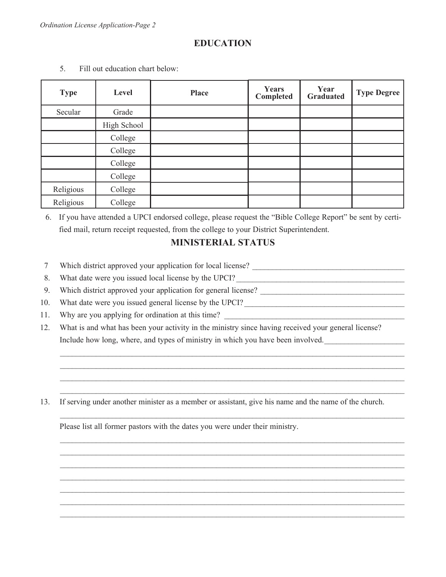# **EDUCATION**

| <b>Type</b> | Level       | <b>Place</b> | <b>Years</b><br>Completed | Year<br><b>Graduated</b> | <b>Type Degree</b> |
|-------------|-------------|--------------|---------------------------|--------------------------|--------------------|
| Secular     | Grade       |              |                           |                          |                    |
|             | High School |              |                           |                          |                    |
|             | College     |              |                           |                          |                    |
|             | College     |              |                           |                          |                    |
|             | College     |              |                           |                          |                    |
|             | College     |              |                           |                          |                    |
| Religious   | College     |              |                           |                          |                    |
| Religious   | College     |              |                           |                          |                    |

5. Fill out education chart below:

6. If you have attended a UPCI endorsed college, please request the "Bible College Report" be sent by certified mail, return receipt requested, from the college to your District Superintendent.

## **MINISTERIAL STATUS**

- 7 Which district approved your application for local license?
- 8. What date were you issued local license by the UPCI?
- 9. Which district approved your application for general license?
- 10. What date were you issued general license by the UPCI? \_\_\_\_\_\_\_\_\_\_\_\_\_\_\_\_\_\_\_\_\_\_\_\_\_\_\_\_\_\_\_\_\_\_\_\_\_\_\_\_
- 11. Why are you applying for ordination at this time?
- 12. What is and what has been your activity in the ministry since having received your general license? Include how long, where, and types of ministry in which you have been involved.

 $\mathcal{L}_\text{max} = \frac{1}{2} \sum_{i=1}^{n} \frac{1}{2} \sum_{i=1}^{n} \frac{1}{2} \sum_{i=1}^{n} \frac{1}{2} \sum_{i=1}^{n} \frac{1}{2} \sum_{i=1}^{n} \frac{1}{2} \sum_{i=1}^{n} \frac{1}{2} \sum_{i=1}^{n} \frac{1}{2} \sum_{i=1}^{n} \frac{1}{2} \sum_{i=1}^{n} \frac{1}{2} \sum_{i=1}^{n} \frac{1}{2} \sum_{i=1}^{n} \frac{1}{2} \sum_{i=1}^{n} \frac{1$  $\mathcal{L}_\mathcal{L} = \mathcal{L}_\mathcal{L} = \mathcal{L}_\mathcal{L} = \mathcal{L}_\mathcal{L} = \mathcal{L}_\mathcal{L} = \mathcal{L}_\mathcal{L} = \mathcal{L}_\mathcal{L} = \mathcal{L}_\mathcal{L} = \mathcal{L}_\mathcal{L} = \mathcal{L}_\mathcal{L} = \mathcal{L}_\mathcal{L} = \mathcal{L}_\mathcal{L} = \mathcal{L}_\mathcal{L} = \mathcal{L}_\mathcal{L} = \mathcal{L}_\mathcal{L} = \mathcal{L}_\mathcal{L} = \mathcal{L}_\mathcal{L}$  $\mathcal{L}_\mathcal{L} = \mathcal{L}_\mathcal{L} = \mathcal{L}_\mathcal{L} = \mathcal{L}_\mathcal{L} = \mathcal{L}_\mathcal{L} = \mathcal{L}_\mathcal{L} = \mathcal{L}_\mathcal{L} = \mathcal{L}_\mathcal{L} = \mathcal{L}_\mathcal{L} = \mathcal{L}_\mathcal{L} = \mathcal{L}_\mathcal{L} = \mathcal{L}_\mathcal{L} = \mathcal{L}_\mathcal{L} = \mathcal{L}_\mathcal{L} = \mathcal{L}_\mathcal{L} = \mathcal{L}_\mathcal{L} = \mathcal{L}_\mathcal{L}$  $\mathcal{L}_\text{max} = \frac{1}{2} \sum_{i=1}^{n} \frac{1}{2} \sum_{i=1}^{n} \frac{1}{2} \sum_{i=1}^{n} \frac{1}{2} \sum_{i=1}^{n} \frac{1}{2} \sum_{i=1}^{n} \frac{1}{2} \sum_{i=1}^{n} \frac{1}{2} \sum_{i=1}^{n} \frac{1}{2} \sum_{i=1}^{n} \frac{1}{2} \sum_{i=1}^{n} \frac{1}{2} \sum_{i=1}^{n} \frac{1}{2} \sum_{i=1}^{n} \frac{1}{2} \sum_{i=1}^{n} \frac{1$ 

 $\mathcal{L}_\mathcal{L} = \mathcal{L}_\mathcal{L} = \mathcal{L}_\mathcal{L} = \mathcal{L}_\mathcal{L} = \mathcal{L}_\mathcal{L} = \mathcal{L}_\mathcal{L} = \mathcal{L}_\mathcal{L} = \mathcal{L}_\mathcal{L} = \mathcal{L}_\mathcal{L} = \mathcal{L}_\mathcal{L} = \mathcal{L}_\mathcal{L} = \mathcal{L}_\mathcal{L} = \mathcal{L}_\mathcal{L} = \mathcal{L}_\mathcal{L} = \mathcal{L}_\mathcal{L} = \mathcal{L}_\mathcal{L} = \mathcal{L}_\mathcal{L}$ 

 $\mathcal{L}_\text{max} = \frac{1}{2} \sum_{i=1}^{n} \frac{1}{2} \sum_{i=1}^{n} \frac{1}{2} \sum_{i=1}^{n} \frac{1}{2} \sum_{i=1}^{n} \frac{1}{2} \sum_{i=1}^{n} \frac{1}{2} \sum_{i=1}^{n} \frac{1}{2} \sum_{i=1}^{n} \frac{1}{2} \sum_{i=1}^{n} \frac{1}{2} \sum_{i=1}^{n} \frac{1}{2} \sum_{i=1}^{n} \frac{1}{2} \sum_{i=1}^{n} \frac{1}{2} \sum_{i=1}^{n} \frac{1$  $\mathcal{L}_\mathcal{L} = \mathcal{L}_\mathcal{L} = \mathcal{L}_\mathcal{L} = \mathcal{L}_\mathcal{L} = \mathcal{L}_\mathcal{L} = \mathcal{L}_\mathcal{L} = \mathcal{L}_\mathcal{L} = \mathcal{L}_\mathcal{L} = \mathcal{L}_\mathcal{L} = \mathcal{L}_\mathcal{L} = \mathcal{L}_\mathcal{L} = \mathcal{L}_\mathcal{L} = \mathcal{L}_\mathcal{L} = \mathcal{L}_\mathcal{L} = \mathcal{L}_\mathcal{L} = \mathcal{L}_\mathcal{L} = \mathcal{L}_\mathcal{L}$  $\mathcal{L}_\text{max} = \frac{1}{2} \sum_{i=1}^{n} \frac{1}{2} \sum_{i=1}^{n} \frac{1}{2} \sum_{i=1}^{n} \frac{1}{2} \sum_{i=1}^{n} \frac{1}{2} \sum_{i=1}^{n} \frac{1}{2} \sum_{i=1}^{n} \frac{1}{2} \sum_{i=1}^{n} \frac{1}{2} \sum_{i=1}^{n} \frac{1}{2} \sum_{i=1}^{n} \frac{1}{2} \sum_{i=1}^{n} \frac{1}{2} \sum_{i=1}^{n} \frac{1}{2} \sum_{i=1}^{n} \frac{1$  $\mathcal{L}_\text{max} = \frac{1}{2} \sum_{i=1}^{n} \frac{1}{2} \sum_{i=1}^{n} \frac{1}{2} \sum_{i=1}^{n} \frac{1}{2} \sum_{i=1}^{n} \frac{1}{2} \sum_{i=1}^{n} \frac{1}{2} \sum_{i=1}^{n} \frac{1}{2} \sum_{i=1}^{n} \frac{1}{2} \sum_{i=1}^{n} \frac{1}{2} \sum_{i=1}^{n} \frac{1}{2} \sum_{i=1}^{n} \frac{1}{2} \sum_{i=1}^{n} \frac{1}{2} \sum_{i=1}^{n} \frac{1$  $\mathcal{L}_\mathcal{L} = \mathcal{L}_\mathcal{L} = \mathcal{L}_\mathcal{L} = \mathcal{L}_\mathcal{L} = \mathcal{L}_\mathcal{L} = \mathcal{L}_\mathcal{L} = \mathcal{L}_\mathcal{L} = \mathcal{L}_\mathcal{L} = \mathcal{L}_\mathcal{L} = \mathcal{L}_\mathcal{L} = \mathcal{L}_\mathcal{L} = \mathcal{L}_\mathcal{L} = \mathcal{L}_\mathcal{L} = \mathcal{L}_\mathcal{L} = \mathcal{L}_\mathcal{L} = \mathcal{L}_\mathcal{L} = \mathcal{L}_\mathcal{L}$  $\mathcal{L}_\text{max} = \frac{1}{2} \sum_{i=1}^{n} \frac{1}{2} \sum_{i=1}^{n} \frac{1}{2} \sum_{i=1}^{n} \frac{1}{2} \sum_{i=1}^{n} \frac{1}{2} \sum_{i=1}^{n} \frac{1}{2} \sum_{i=1}^{n} \frac{1}{2} \sum_{i=1}^{n} \frac{1}{2} \sum_{i=1}^{n} \frac{1}{2} \sum_{i=1}^{n} \frac{1}{2} \sum_{i=1}^{n} \frac{1}{2} \sum_{i=1}^{n} \frac{1}{2} \sum_{i=1}^{n} \frac{1$  $\mathcal{L}_\text{max} = \frac{1}{2} \sum_{i=1}^{n} \frac{1}{2} \sum_{i=1}^{n} \frac{1}{2} \sum_{i=1}^{n} \frac{1}{2} \sum_{i=1}^{n} \frac{1}{2} \sum_{i=1}^{n} \frac{1}{2} \sum_{i=1}^{n} \frac{1}{2} \sum_{i=1}^{n} \frac{1}{2} \sum_{i=1}^{n} \frac{1}{2} \sum_{i=1}^{n} \frac{1}{2} \sum_{i=1}^{n} \frac{1}{2} \sum_{i=1}^{n} \frac{1}{2} \sum_{i=1}^{n} \frac{1$ 

13. If serving under another minister as a member or assistant, give his name and the name of the church.

Please list all former pastors with the dates you were under their ministry.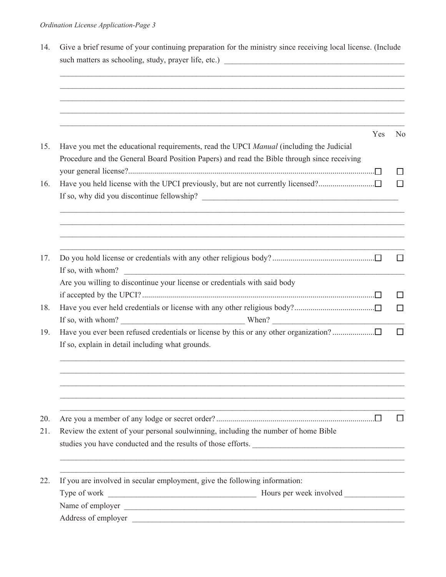| ,我们也不会有什么。""我们的人,我们也不会有什么?""我们的人,我们也不会有什么?""我们的人,我们也不会有什么?""我们的人,我们也不会有什么?""我们的人<br>Yes<br>Have you held license with the UPCI previously, but are not currently licensed?<br>If so, with whom?<br>Review the extent of your personal soulwinning, including the number of home Bible |  |                                                                                                                                                                                        |  |  |  |  |  |
|---------------------------------------------------------------------------------------------------------------------------------------------------------------------------------------------------------------------------------------------------------------------------------------|--|----------------------------------------------------------------------------------------------------------------------------------------------------------------------------------------|--|--|--|--|--|
|                                                                                                                                                                                                                                                                                       |  |                                                                                                                                                                                        |  |  |  |  |  |
|                                                                                                                                                                                                                                                                                       |  |                                                                                                                                                                                        |  |  |  |  |  |
|                                                                                                                                                                                                                                                                                       |  | Have you met the educational requirements, read the UPCI Manual (including the Judicial<br>Procedure and the General Board Position Papers) and read the Bible through since receiving |  |  |  |  |  |
|                                                                                                                                                                                                                                                                                       |  |                                                                                                                                                                                        |  |  |  |  |  |
| If so, with whom? $\qquad \qquad$ When?<br>studies you have conducted and the results of those efforts.                                                                                                                                                                               |  |                                                                                                                                                                                        |  |  |  |  |  |
|                                                                                                                                                                                                                                                                                       |  |                                                                                                                                                                                        |  |  |  |  |  |
|                                                                                                                                                                                                                                                                                       |  | Are you willing to discontinue your license or credentials with said body                                                                                                              |  |  |  |  |  |
|                                                                                                                                                                                                                                                                                       |  |                                                                                                                                                                                        |  |  |  |  |  |
|                                                                                                                                                                                                                                                                                       |  | If so, explain in detail including what grounds.                                                                                                                                       |  |  |  |  |  |
|                                                                                                                                                                                                                                                                                       |  |                                                                                                                                                                                        |  |  |  |  |  |
|                                                                                                                                                                                                                                                                                       |  |                                                                                                                                                                                        |  |  |  |  |  |
|                                                                                                                                                                                                                                                                                       |  |                                                                                                                                                                                        |  |  |  |  |  |
|                                                                                                                                                                                                                                                                                       |  | If you are involved in secular employment, give the following information:                                                                                                             |  |  |  |  |  |
|                                                                                                                                                                                                                                                                                       |  |                                                                                                                                                                                        |  |  |  |  |  |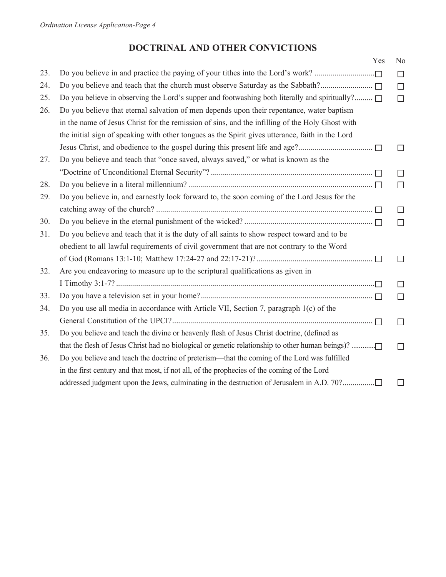# **DOCTRINAL AND OTHER CONVICTIONS**

|     |                                                                                                  | Yes | N <sub>0</sub> |
|-----|--------------------------------------------------------------------------------------------------|-----|----------------|
| 23. | Do you believe in and practice the paying of your tithes into the Lord's work?                   |     | $\Box$         |
| 24. | Do you believe and teach that the church must observe Saturday as the Sabbath?                   |     | $\Box$         |
| 25. | Do you believe in observing the Lord's supper and footwashing both literally and spiritually?    |     | $\Box$         |
| 26. | Do you believe that eternal salvation of men depends upon their repentance, water baptism        |     |                |
|     | in the name of Jesus Christ for the remission of sins, and the infilling of the Holy Ghost with  |     |                |
|     | the initial sign of speaking with other tongues as the Spirit gives utterance, faith in the Lord |     |                |
|     |                                                                                                  |     | $\Box$         |
| 27. | Do you believe and teach that "once saved, always saved," or what is known as the                |     |                |
|     |                                                                                                  |     | $\Box$         |
| 28. |                                                                                                  |     | $\Box$         |
| 29. | Do you believe in, and earnestly look forward to, the soon coming of the Lord Jesus for the      |     |                |
|     |                                                                                                  |     | $\Box$         |
| 30. |                                                                                                  |     | $\Box$         |
| 31. | Do you believe and teach that it is the duty of all saints to show respect toward and to be      |     |                |
|     | obedient to all lawful requirements of civil government that are not contrary to the Word        |     |                |
|     |                                                                                                  |     | $\Box$         |
| 32. | Are you endeavoring to measure up to the scriptural qualifications as given in                   |     |                |
|     |                                                                                                  |     | П              |
| 33. |                                                                                                  |     | $\Box$         |
| 34. | Do you use all media in accordance with Article VII, Section 7, paragraph 1(c) of the            |     |                |
|     |                                                                                                  |     | $\Box$         |
| 35. | Do you believe and teach the divine or heavenly flesh of Jesus Christ doctrine, (defined as      |     |                |
|     | that the flesh of Jesus Christ had no biological or genetic relationship to other human beings)? |     | $\Box$         |
| 36. | Do you believe and teach the doctrine of preterism—that the coming of the Lord was fulfilled     |     |                |
|     | in the first century and that most, if not all, of the prophecies of the coming of the Lord      |     |                |
|     | addressed judgment upon the Jews, culminating in the destruction of Jerusalem in A.D. 70?        |     | П              |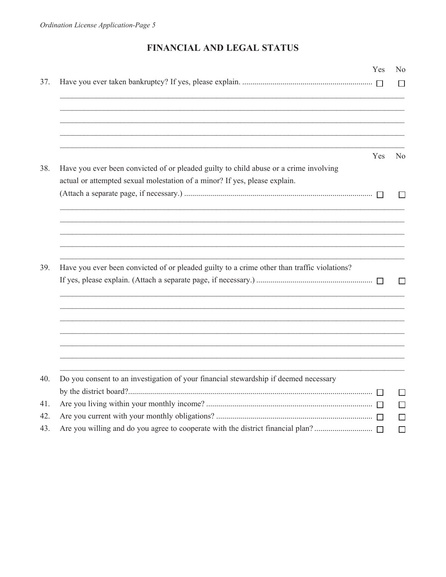# FINANCIAL AND LEGAL STATUS

|                                                                                                                                                                     | <b>Yes</b> | N <sub>0</sub> |
|---------------------------------------------------------------------------------------------------------------------------------------------------------------------|------------|----------------|
|                                                                                                                                                                     |            | $\Box$         |
|                                                                                                                                                                     |            |                |
|                                                                                                                                                                     | Yes        | N <sub>0</sub> |
| Have you ever been convicted of or pleaded guilty to child abuse or a crime involving<br>actual or attempted sexual molestation of a minor? If yes, please explain. |            |                |
|                                                                                                                                                                     |            | $\Box$         |
|                                                                                                                                                                     |            |                |
| Have you ever been convicted of or pleaded guilty to a crime other than traffic violations?                                                                         |            |                |
|                                                                                                                                                                     |            | $\perp$        |
|                                                                                                                                                                     |            |                |
|                                                                                                                                                                     |            |                |
| Do you consent to an investigation of your financial stewardship if deemed necessary                                                                                |            |                |
|                                                                                                                                                                     |            | $\perp$        |
|                                                                                                                                                                     |            | $\Box$         |
|                                                                                                                                                                     |            | $\mathsf{L}$   |
|                                                                                                                                                                     |            | $\Box$         |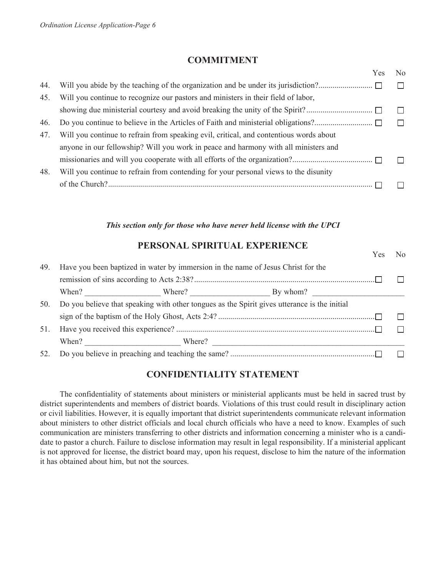#### **COMMITMENT**

|     |                                                                                        | Yes | No |
|-----|----------------------------------------------------------------------------------------|-----|----|
| 44. |                                                                                        |     |    |
| 45. | Will you continue to recognize our pastors and ministers in their field of labor,      |     |    |
|     |                                                                                        |     |    |
| 46. |                                                                                        |     |    |
| 47. | Will you continue to refrain from speaking evil, critical, and contentious words about |     |    |
|     | anyone in our fellowship? Will you work in peace and harmony with all ministers and    |     |    |
|     |                                                                                        |     |    |
| 48. | Will you continue to refrain from contending for your personal views to the disunity   |     |    |
|     |                                                                                        |     |    |
|     |                                                                                        |     |    |

#### *This section only for those who have never held license with the UPCI*

### **PERSONAL SPIRITUAL EXPERIENCE**

Yes No

| Have you been baptized in water by immersion in the name of Jesus Christ for the<br>49. |  |  |                                                                                              |  |
|-----------------------------------------------------------------------------------------|--|--|----------------------------------------------------------------------------------------------|--|
|                                                                                         |  |  |                                                                                              |  |
| 50.                                                                                     |  |  | Do you believe that speaking with other tongues as the Spirit gives utterance is the initial |  |
|                                                                                         |  |  |                                                                                              |  |
| 51.                                                                                     |  |  |                                                                                              |  |
|                                                                                         |  |  |                                                                                              |  |
|                                                                                         |  |  |                                                                                              |  |

## **CONFIDENTIALITY STATEMENT**

The confidentiality of statements about ministers or ministerial applicants must be held in sacred trust by district superintendents and members of district boards. Violations of this trust could result in disciplinary action or civil liabilities. However, it is equally important that district superintendents communicate relevant information about ministers to other district officials and local church officials who have a need to know. Examples of such communication are ministers transferring to other districts and information concerning a minister who is a candidate to pastor a church. Failure to disclose information may result in legal responsibility. If a ministerial applicant is not approved for license, the district board may, upon his request, disclose to him the nature of the information it has obtained about him, but not the sources.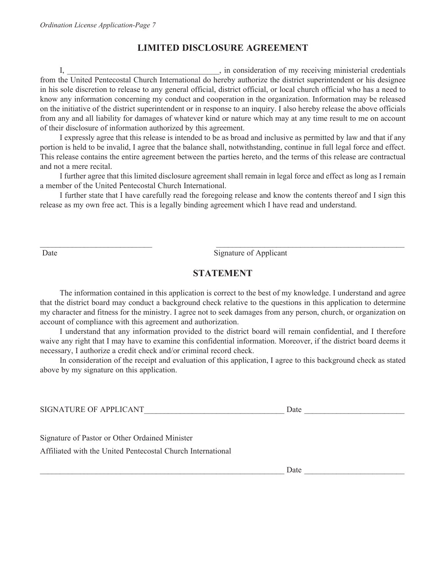# **LIMITED DISCLOSURE AGREEMENT**

I, the consideration of my receiving ministerial credentials from the United Pentecostal Church International do hereby authorize the district superintendent or his designee in his sole discretion to release to any general official, district official, or local church official who has a need to know any information concerning my conduct and cooperation in the organization. Information may be released on the initiative of the district superintendent or in response to an inquiry. I also hereby release the above officials from any and all liability for damages of whatever kind or nature which may at any time result to me on account of their disclosure of information authorized by this agreement.

I expressly agree that this release is intended to be as broad and inclusive as permitted by law and that if any portion is held to be invalid, I agree that the balance shall, notwithstanding, continue in full legal force and effect. This release contains the entire agreement between the parties hereto, and the terms of this release are contractual and not a mere recital.

I further agree that this limited disclosure agreement shall remain in legal force and effect as long as I remain a member of the United Pentecostal Church International.

I further state that I have carefully read the foregoing release and know the contents thereof and I sign this release as my own free act. This is a legally binding agreement which I have read and understand.

Date Signature of Applicant

### **STATEMENT**

\_\_\_\_\_\_\_\_\_\_\_\_\_\_\_\_\_\_\_\_\_\_\_\_\_\_\_\_ \_\_\_\_\_\_\_\_\_\_\_\_\_\_\_\_\_\_\_\_\_\_\_\_\_\_\_\_\_\_\_\_\_\_\_\_\_\_\_\_\_\_\_\_\_\_\_

The information contained in this application is correct to the best of my knowledge. I understand and agree that the district board may conduct a background check relative to the questions in this application to determine my character and fitness for the ministry. I agree not to seek damages from any person, church, or organization on account of compliance with this agreement and authorization.

I understand that any information provided to the district board will remain confidential, and I therefore waive any right that I may have to examine this confidential information. Moreover, if the district board deems it necessary, I authorize a credit check and/or criminal record check.

In consideration of the receipt and evaluation of this application, I agree to this background check as stated above by my signature on this application.

| SIGNATURE OF APPLICANT |  | Date. |
|------------------------|--|-------|
|------------------------|--|-------|

Signature of Pastor or Other Ordained Minister

Affiliated with the United Pentecostal Church International

 $\Box$  Date  $\Box$